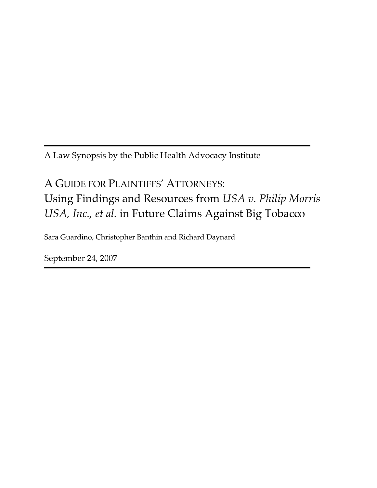A Law Synopsis by the Public Health Advocacy Institute

# A GUIDE FOR PLAINTIFFS' ATTORNEYS: Using Findings and Resources from *USA v. Philip Morris USA, Inc., et al.* in Future Claims Against Big Tobacco

Sara Guardino, Christopher Banthin and Richard Daynard

September 24, 2007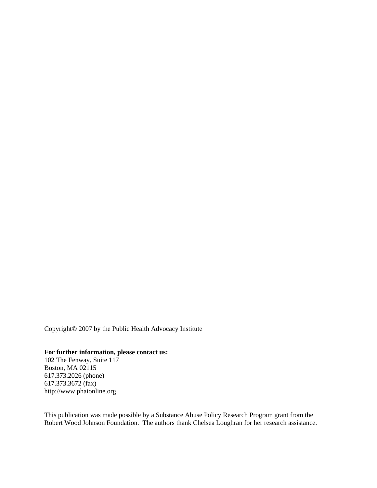Copyright© 2007 by the Public Health Advocacy Institute

#### **For further information, please contact us:**

102 The Fenway, Suite 117 Boston, MA 02115 617.373.2026 (phone) 617.373.3672 (fax) http://www.phaionline.org

This publication was made possible by a Substance Abuse Policy Research Program grant from the Robert Wood Johnson Foundation. The authors thank Chelsea Loughran for her research assistance.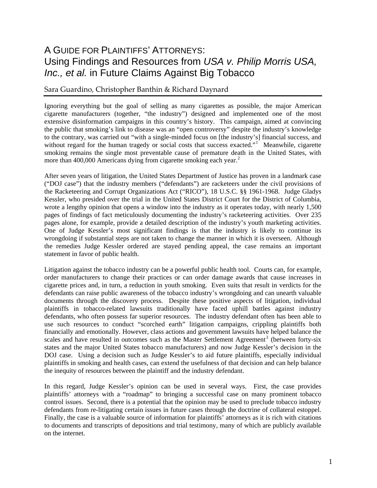### A GUIDE FOR PLAINTIFFS' ATTORNEYS: Using Findings and Resources from *USA v. Philip Morris USA, Inc., et al.* in Future Claims Against Big Tobacco

#### Sara Guardino, Christopher Banthin & Richard Daynard

Ignoring everything but the goal of selling as many cigarettes as possible, the major American cigarette manufacturers (together, "the industry") designed and implemented one of the most extensive disinformation campaigns in this country's history. This campaign, aimed at convincing the public that smoking's link to disease was an "open controversy" despite the industry's knowledge to the contrary, was carried out "with a single-minded focus on [the industry's] financial success, and without regard for the human tragedy or social costs that success exacted."<sup>[1](#page-7-0)</sup> Meanwhile, cigarette smoking remains the single most preventable cause of premature death in the United States, with more than 400,000 Americans dying from cigarette smoking each year.<sup>[2](#page-7-1)</sup>

After seven years of litigation, the United States Department of Justice has proven in a landmark case ("DOJ case") that the industry members ("defendants") are racketeers under the civil provisions of the Racketeering and Corrupt Organizations Act ("RICO"), 18 U.S.C. §§ 1961-1968. Judge Gladys Kessler, who presided over the trial in the United States District Court for the District of Columbia, wrote a lengthy opinion that opens a window into the industry as it operates today, with nearly 1,500 pages of findings of fact meticulously documenting the industry's racketeering activities. Over 235 pages alone, for example, provide a detailed description of the industry's youth marketing activities. One of Judge Kessler's most significant findings is that the industry is likely to continue its wrongdoing if substantial steps are not taken to change the manner in which it is overseen. Although the remedies Judge Kessler ordered are stayed pending appeal, the case remains an important statement in favor of public health.

Litigation against the tobacco industry can be a powerful public health tool. Courts can, for example, order manufacturers to change their practices or can order damage awards that cause increases in cigarette prices and, in turn, a reduction in youth smoking. Even suits that result in verdicts for the defendants can raise public awareness of the tobacco industry's wrongdoing and can unearth valuable documents through the discovery process. Despite these positive aspects of litigation, individual plaintiffs in tobacco-related lawsuits traditionally have faced uphill battles against industry defendants, who often possess far superior resources. The industry defendant often has been able to use such resources to conduct "scorched earth" litigation campaigns, crippling plaintiffs both financially and emotionally. However, class actions and government lawsuits have helped balance the scales and have resulted in outcomes such as the Master Settlement Agreement<sup>[3](#page-7-1)</sup> (between forty-six states and the major United States tobacco manufacturers) and now Judge Kessler's decision in the DOJ case. Using a decision such as Judge Kessler's to aid future plaintiffs, especially individual plaintiffs in smoking and health cases, can extend the usefulness of that decision and can help balance the inequity of resources between the plaintiff and the industry defendant.

In this regard, Judge Kessler's opinion can be used in several ways. First, the case provides plaintiffs' attorneys with a "roadmap" to bringing a successful case on many prominent tobacco control issues. Second, there is a potential that the opinion may be used to preclude tobacco industry defendants from re-litigating certain issues in future cases through the doctrine of collateral estoppel. Finally, the case is a valuable source of information for plaintiffs' attorneys as it is rich with citations to documents and transcripts of depositions and trial testimony, many of which are publicly available on the internet.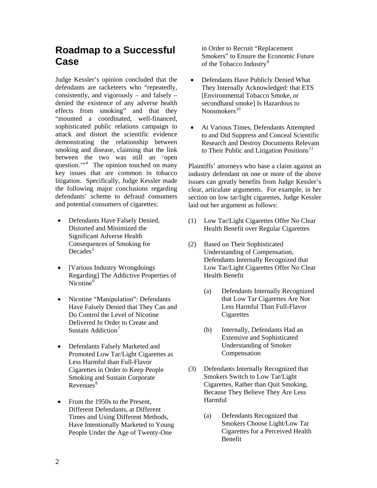### **Roadmap to a Successful Case**

Judge Kessler's opinion concluded that the defendants are racketeers who "repeatedly, consistently, and vigorously – and falsely – denied the existence of any adverse health effects from smoking" and that they "mounted a coordinated, well-financed, sophisticated public relations campaign to attack and distort the scientific evidence demonstrating the relationship between smoking and disease, claiming that the link between the two was still an 'open question."<sup>[4](#page-7-1)</sup> The opinion touched on many key issues that are common in tobacco litigation. Specifically, Judge Kessler made the following major conclusions regarding defendants' scheme to defraud consumers and potential consumers of cigarettes:

- Defendants Have Falsely Denied, Distorted and Minimized the Significant Adverse Health Consequences of Smoking for  $Decades^5$  $Decades^5$
- [Various Industry Wrongdoings Regarding] The Addictive Properties of Nicotine $<sup>6</sup>$  $<sup>6</sup>$  $<sup>6</sup>$ </sup>
- Nicotine "Manipulation": Defendants Have Falsely Denied that They Can and Do Control the Level of Nicotine Delivered In Order to Create and Sustain Addiction<sup>[7](#page-7-1)</sup>
- Defendants Falsely Marketed and Promoted Low Tar/Light Cigarettes as Less Harmful than Full-Flavor Cigarettes in Order to Keep People Smoking and Sustain Corporate  $Re$ venues $8$
- From the 1950s to the Present, Different Defendants, at Different Times and Using Different Methods, Have Intentionally Marketed to Young People Under the Age of Twenty-One

in Order to Recruit "Replacement Smokers" to Ensure the Economic Future of the Tobacco Industry<sup>[9](#page-7-1)</sup>

- Defendants Have Publicly Denied What They Internally Acknowledged: that ETS [Environmental Tobacco Smoke, or secondhand smoke] Is Hazardous to Nonsmokers<sup>[10](#page-7-1)</sup>
- At Various Times, Defendants Attempted to and Did Suppress and Conceal Scientific Research and Destroy Documents Relevant to Their Public and Litigation Positions<sup>[11](#page-7-1)</sup>

Plaintiffs' attorneys who base a claim against an industry defendant on one or more of the above issues can greatly benefits from Judge Kessler's clear, articulate arguments. For example, in her section on low tar/light cigarettes, Judge Kessler laid out her argument as follows:

- (1) Low Tar/Light Cigarettes Offer No Clear Health Benefit over Regular Cigarettes
- (2) Based on Their Sophisticated Understanding of Compensation, Defendants Internally Recognized that Low Tar/Light Cigarettes Offer No Clear Health Benefit
	- (a) Defendants Internally Recognized that Low Tar Cigarettes Are Not Less Harmful Than Full-Flavor **Cigarettes**
	- (b) Internally, Defendants Had an Extensive and Sophisticated Understanding of Smoker Compensation
- (3) Defendants Internally Recognized that Smokers Switch to Low Tar/Light Cigarettes, Rather than Quit Smoking, Because They Believe They Are Less Harmful
	- (a) Defendants Recognized that Smokers Choose Light/Low Tar Cigarettes for a Perceived Health Benefit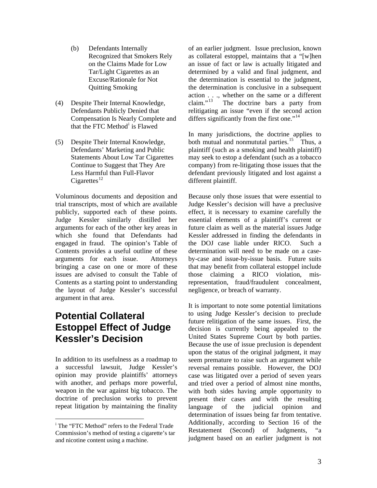- (b) Defendants Internally Recognized that Smokers Rely on the Claims Made for Low Tar/Light Cigarettes as an Excuse/Rationale for Not Quitting Smoking
- (4) Despite Their Internal Knowledge, Defendants Publicly Denied that Compensation Is Nearly Complete and that the FTC Method<sup>[i](#page-4-0)</sup> is Flawed
- (5) Despite Their Internal Knowledge, Defendants' Marketing and Public Statements About Low Tar Cigarettes Continue to Suggest that They Are Less Harmful than Full-Flavor  $Cigareq$ ttes<sup>[12](#page-7-1)</sup>

Voluminous documents and deposition and trial transcripts, most of which are available publicly, supported each of these points. Judge Kessler similarly distilled her arguments for each of the other key areas in which she found that Defendants had engaged in fraud. The opinion's Table of Contents provides a useful outline of these arguments for each issue. Attorneys bringing a case on one or more of these issues are advised to consult the Table of Contents as a starting point to understanding the layout of Judge Kessler's successful argument in that area.

### **Potential Collateral Estoppel Effect of Judge Kessler's Decision**

In addition to its usefulness as a roadmap to a successful lawsuit, Judge Kessler's opinion may provide plaintiffs' attorneys with another, and perhaps more powerful, weapon in the war against big tobacco. The doctrine of preclusion works to prevent repeat litigation by maintaining the finality

 $\overline{a}$ 

of an earlier judgment. Issue preclusion, known as collateral estoppel, maintains that a "[w]hen an issue of fact or law is actually litigated and determined by a valid and final judgment, and the determination is essential to the judgment, the determination is conclusive in a subsequent action  $\dots$ , whether on the same or a different claim.<sup>3</sup> The doctrine bars a party from The doctrine bars a party from relitigating an issue "even if the second action differs significantly from the first one."<sup>[14](#page-7-1)</sup>

In many jurisdictions, the doctrine applies to both mutual and nonmututal parties.<sup>[15](#page-7-1)</sup> Thus, a plaintiff (such as a smoking and health plaintiff) may seek to estop a defendant (such as a tobacco company) from re-litigating those issues that the defendant previously litigated and lost against a different plaintiff.

Because only those issues that were essential to Judge Kessler's decision will have a preclusive effect, it is necessary to examine carefully the essential elements of a plaintiff's current or future claim as well as the material issues Judge Kessler addressed in finding the defendants in the DOJ case liable under RICO. Such a determination will need to be made on a caseby-case and issue-by-issue basis. Future suits that may benefit from collateral estoppel include those claiming a RICO violation, misrepresentation, fraud/fraudulent concealment, negligence, or breach of warranty.

It is important to note some potential limitations to using Judge Kessler's decision to preclude future relitigation of the same issues. First, the decision is currently being appealed to the United States Supreme Court by both parties. Because the use of issue preclusion is dependent upon the status of the original judgment, it may seem premature to raise such an argument while reversal remains possible. However, the DOJ case was litigated over a period of seven years and tried over a period of almost nine months, with both sides having ample opportunity to present their cases and with the resulting language of the judicial opinion and determination of issues being far from tentative. Additionally, according to Section 16 of the Restatement (Second) of Judgments, "a judgment based on an earlier judgment is not

<span id="page-4-0"></span><sup>&</sup>lt;sup>i</sup> The "FTC Method" refers to the Federal Trade Commission's method of testing a cigarette's tar and nicotine content using a machine.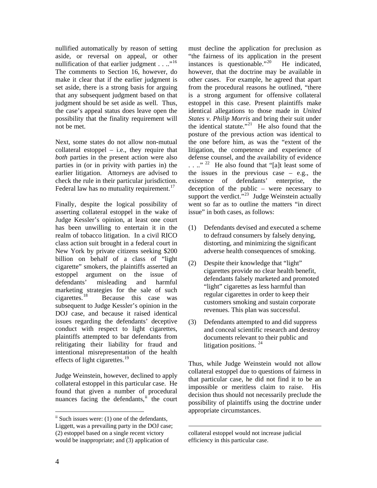nullified automatically by reason of setting aside, or reversal on appeal, or other nullification of that earlier judgment  $\dots$ <sup>[16](#page-7-1)</sup> The comments to Section 16, however, do make it clear that if the earlier judgment is set aside, there is a strong basis for arguing that any subsequent judgment based on that judgment should be set aside as well. Thus, the case's appeal status does leave open the possibility that the finality requirement will not be met.

Next, some states do not allow non-mutual collateral estoppel – i.e., they require that *both* parties in the present action were also parties in (or in privity with parties in) the earlier litigation. Attorneys are advised to check the rule in their particular jurisdiction. Federal law has no mutuality requirement.<sup>[17](#page-7-1)</sup>

Finally, despite the logical possibility of asserting collateral estoppel in the wake of Judge Kessler's opinion, at least one court has been unwilling to entertain it in the realm of tobacco litigation. In a civil RICO class action suit brought in a federal court in New York by private citizens seeking \$200 billion on behalf of a class of "light cigarette" smokers, the plaintiffs asserted an estoppel argument on the issue of defendants' misleading and harmful marketing strategies for the sale of such<br>cigarettes.<sup>18</sup> Because this case was Because this case was subsequent to Judge Kessler's opinion in the DOJ case, and because it raised identical issues regarding the defendants' deceptive conduct with respect to light cigarettes, plaintiffs attempted to bar defendants from relitigating their liability for fraud and intentional misrepresentation of the health effects of light cigarettes.<sup>[19](#page-7-1)</sup>

Judge Weinstein, however, declined to apply collateral estoppel in this particular case. He found that given a number of procedural nuances facing the defendants, $\ddot{h}$  the court must decline the application for preclusion as "the fairness of its application in the present instances is questionable." $^{20}$  $^{20}$  $^{20}$  He indicated. however, that the doctrine may be available in other cases. For example, he agreed that apart from the procedural reasons he outlined, "there is a strong argument for offensive collateral estoppel in this case. Present plaintiffs make identical allegations to those made in *United States v. Philip Morris* and bring their suit under the identical statute."<sup>[21](#page-7-1)</sup> He also found that the posture of the previous action was identical to the one before him, as was the "extent of the litigation, the competence and experience of defense counsel, and the availability of evidence  $\ldots$ ."<sup>[22](#page-7-1)</sup> He also found that "[a]t least some of the issues in the previous case  $-$  e.g., the existence of defendants' enterprise, the deception of the public – were necessary to support the verdict."<sup>[23](#page-7-1)</sup> Judge Weinstein actually went so far as to outline the matters "in direct issue" in both cases, as follows:

- (1) Defendants devised and executed a scheme to defraud consumers by falsely denying, distorting, and minimizing the significant adverse health consequences of smoking.
- (2) Despite their knowledge that "light" cigarettes provide no clear health benefit, defendants falsely marketed and promoted "light" cigarettes as less harmful than regular cigarettes in order to keep their customers smoking and sustain corporate revenues. This plan was successful.
- (3) Defendants attempted to and did suppress and conceal scientific research and destroy documents relevant to their public and litigation positions.<sup>[24](#page-7-1)</sup>

Thus, while Judge Weinstein would not allow collateral estoppel due to questions of fairness in that particular case, he did not find it to be an impossible or meritless claim to raise. His decision thus should not necessarily preclude the possibility of plaintiffs using the doctrine under appropriate circumstances.

 $\overline{a}$ 

 $\overline{a}$ 

<span id="page-5-0"></span> $\ddot{a}$  Such issues were: (1) one of the defendants, Liggett, was a prevailing party in the DOJ case; (2) estoppel based on a single recent victory would be inappropriate; and (3) application of

collateral estoppel would not increase judicial efficiency in this particular case.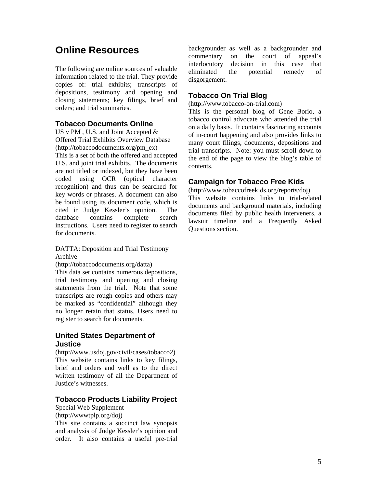## **Online Resources**

The following are online sources of valuable information related to the trial. They provide copies of: trial exhibits; transcripts of depositions, testimony and opening and closing statements; key filings, brief and orders; and trial summaries.

#### **Tobacco Documents Online**

US v PM, U.S. and Joint Accepted  $&$ Offered Trial Exhibits Overview Database (http://tobaccodocuments.org/pm\_ex) This is a set of both the offered and accepted U.S. and joint trial exhibits. The documents are not titled or indexed, but they have been coded using OCR (optical character recognition) and thus can be searched for key words or phrases. A document can also be found using its document code, which is cited in Judge Kessler's opinion. The database contains complete search instructions. Users need to register to search for documents.

DATTA: Deposition and Trial Testimony Archive

(http://tobaccodocuments.org/datta)

This data set contains numerous depositions, trial testimony and opening and closing statements from the trial. Note that some transcripts are rough copies and others may be marked as "confidential" although they no longer retain that status. Users need to register to search for documents.

#### **United States Department of Justice**

(http://www.usdoj.gov/civil/cases/tobacco2) This website contains links to key filings, brief and orders and well as to the direct written testimony of all the Department of Justice's witnesses.

#### **Tobacco Products Liability Project**

Special Web Supplement (http://wwwtplp.org/doj)

This site contains a succinct law synopsis and analysis of Judge Kessler's opinion and order. It also contains a useful pre-trial

backgrounder as well as a backgrounder and commentary on the court of appeal's interlocutory decision in this case that eliminated the potential remedy of disgorgement.

#### **Tobacco On Trial Blog**

(http://www.tobacco-on-trial.com)

This is the personal blog of Gene Borio, a tobacco control advocate who attended the trial on a daily basis. It contains fascinating accounts of in-court happening and also provides links to many court filings, documents, depositions and trial transcripts. Note: you must scroll down to the end of the page to view the blog's table of contents.

#### **Campaign for Tobacco Free Kids**

(http://www.tobaccofreekids.org/reports/doj) This website contains links to trial-related documents and background materials, including documents filed by public health interveners, a lawsuit timeline and a Frequently Asked Questions section.